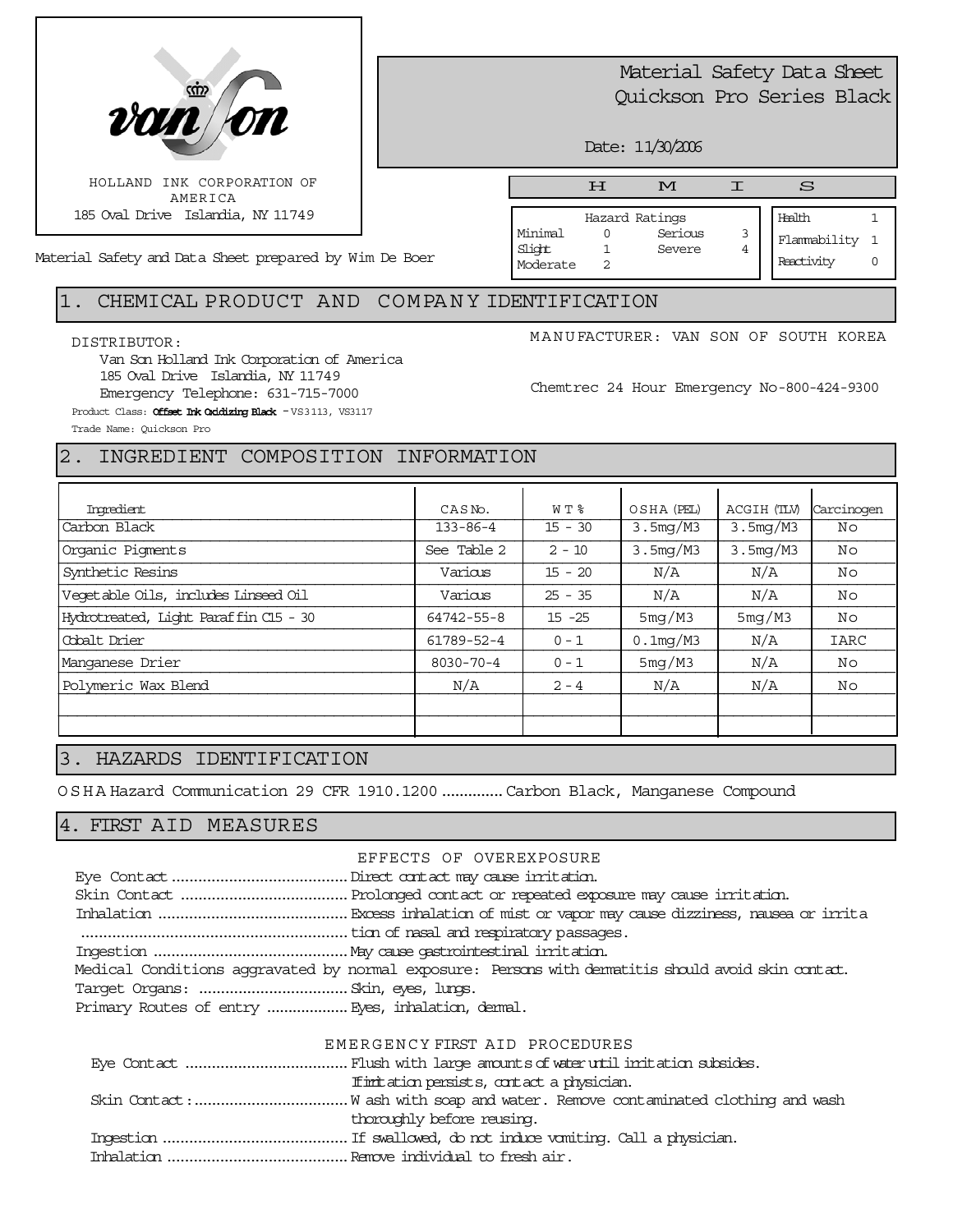

# Material Safety Data Sheet Quickson Pro Series Black

Date: 11/30/2006

Moderate 2

Material Safety and Data Sheet prepared by Wim De Boer

#### Hazard Ratings Minimal 0 Serious 3 Slight 1 Severe 4 Health 1 Flammability 1 H M I S

Reactivity 0

## 1. CHEMICAL PRODUCT AND COMPA N Y IDENTIFICATION

#### DISTRIBUTOR:

Van Son Holland Ink Corporation of America 185 Oval Drive Islandia, NY 11749 Emergency Telephone: 631-715-7000 Product Class: **Offset Ink Oxidizing Black** - VS3113, VS3117

MANUFACTURER: VAN SON OF SOUTH KOREA

Chemtrec 24 Hour Emergency No-800-424-9300

Trade Name: Quickson Pro

## 2. INGREDIENT COMPOSITION INFORMATION

| Imredient                             | W T %<br>CASN <sub>o</sub> . |           | OSHA (PEL)  | ACGIH (TLV) | Carcinogen  |
|---------------------------------------|------------------------------|-----------|-------------|-------------|-------------|
| Carbon Black                          | $133 - 86 - 4$               | $15 - 30$ | 3.5mg/M3    | 3.5mg/M3    | No          |
| Organic Pigments                      | See Table 2                  | $2 - 10$  | 3.5mg/M3    | 3.5mg/M3    | No          |
| Synthetic Resins                      | Various                      | $15 - 20$ | N/A         | N/A         | No          |
| Vegetable Oils, includes Linseed Oil  | Various                      | $25 - 35$ | N/A         | N/A         | No          |
| Hydrotreated, Light Paraffin C15 - 30 | 64742-55-8                   | $15 - 25$ | 5mg/M3      | 5mg/M3      | No          |
| Cobalt Drier                          | 61789-52-4                   | $0 - 1$   | $0.1$ mg/M3 | N/A         | <b>IARC</b> |
| Manganese Drier                       | 8030-70-4                    | $0 - 1$   | 5mg/M3      | N/A         | Νo          |
| Polymeric Wax Blend                   | N/A                          | $2 - 4$   | N/A         | N/A         | Νo          |
|                                       |                              |           |             |             |             |
|                                       |                              |           |             |             |             |

### 3. HAZARDS IDENTIFICATION

OSHA Hazard Communication 29 CFR 1910.1200..............Carbon Black, Manganese Compound

### 4. FIRST AID MEASURES

EFFECTS OF OVEREXPOSURE Eye Contact........................................Direct contact may cause irritation. Skin Contact ......................................Prolonged contact or repeated exposure may cause irritation. Inhalation ...........................................Excess inhalation of mist or vapor may cause dizziness, nausea or irrita ............................................................tion of nasal and respiratory passages. Ingestion ............................................May cause gastrointestinal irritation. Medical Conditions aggravated by normal exposure: Persons with dermatitis should avoid skin contact. Target Organs: ..................................Skin, eyes, lungs. Primary Routes of entry ................... Eyes, inhalation, demal.

#### EMERGENCY FIRST AID PROCEDURES

| If initiation persists, contact a physician. |
|----------------------------------------------|
|                                              |
| thoroughly before reusing.                   |
|                                              |
|                                              |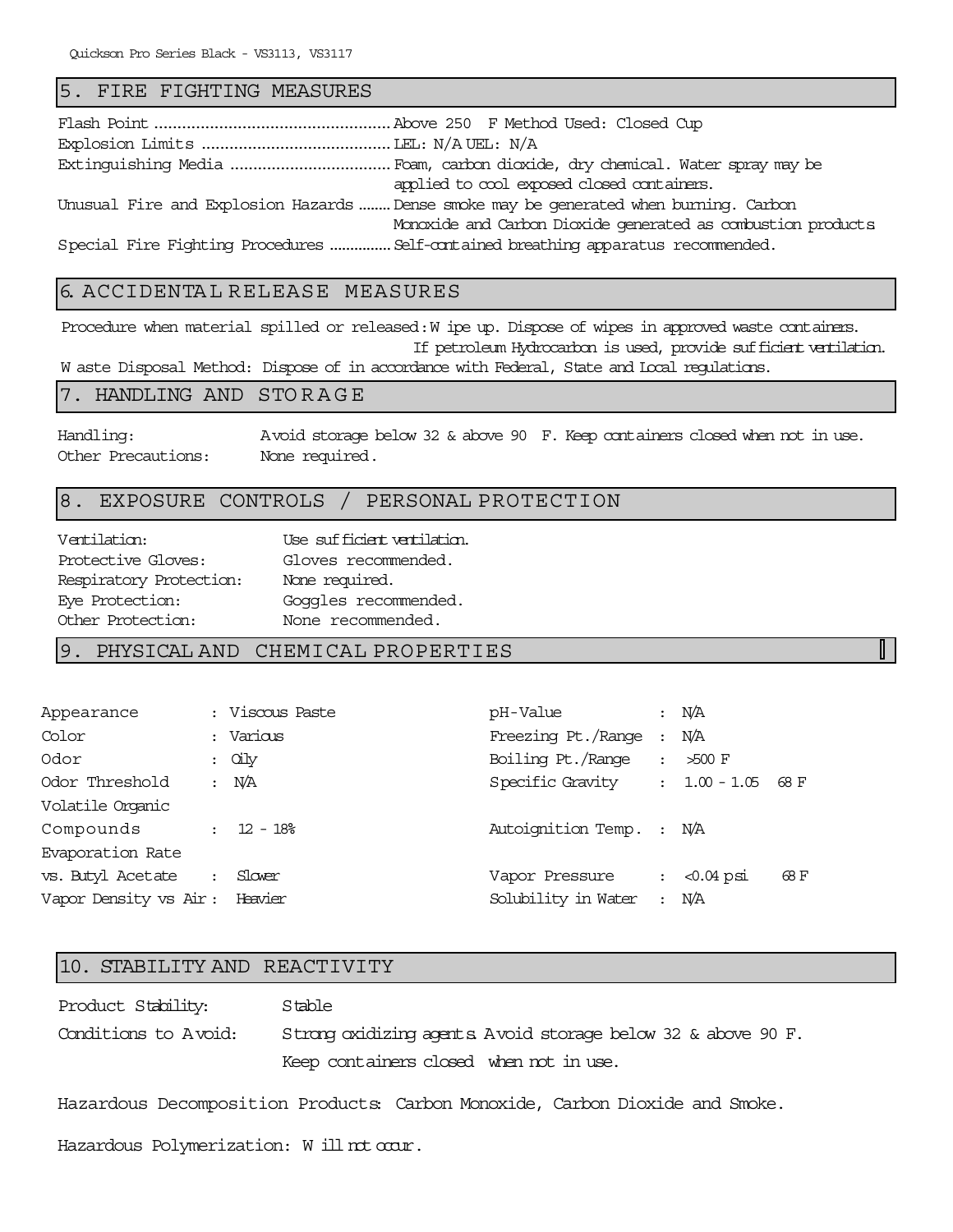#### 5. FIRE FIGHTING MEASURES

| applied to cool exposed closed containers.                                           |
|--------------------------------------------------------------------------------------|
| Unusual Fire and Explosion Hazards Dense smoke may be generated when burning. Carbon |
| Monoxide and Carbon Dioxide generated as combustion products                         |
| Special Fire Fighting Procedures  Self-contained breathing apparatus recommended.    |

## 6. ACCIDENTA L RELEASE MEASURES

Procedure when material spilled or released: W ipe up. Dispose of wipes in approved waste containers. If petroleum Hydrocarbon is used, provide sufficient ventilation. W aste Disposal Method: Dispose of in accordance with Federal, State and Local regulations.

#### 7. HANDLING AND STORAGE

Handling: Avoid storage below 32 & above 90 F. Keep containers closed when not in use. Other Precautions: None required.

 $\mathbb{L}$ 

#### 8. EXPOSURE CONTROLS / PERSONAL PROTECTION

| Ventilation:            | Use sufficient ventilation. |
|-------------------------|-----------------------------|
| Protective Gloves:      | Gloves recommended.         |
| Respiratory Protection: | None required.              |
| Eye Protection:         | Goggles recommended.        |
| Other Protection:       | None recommended.           |

#### 9. PHYSICAL AND CHEMICAL PROPERTIES

| Appearance                    |                | : Viscous Paste | pH-Value                       | $\ddot{\phantom{a}}$ | NÆ           |      |
|-------------------------------|----------------|-----------------|--------------------------------|----------------------|--------------|------|
| Color                         |                | : Various       | Freezing Pt./Range             | $\cdot$              | N/A          |      |
| Odor                          |                | $:$ $\alpha$ by | Boiling Pt./Range              | $\ddot{\phantom{a}}$ | $>500$ F     |      |
| Odor Threshold                |                | $:$ N/A         | Specific Gravity : 1.00 - 1.05 |                      |              | 68 F |
| Volatile Orqanic              |                |                 |                                |                      |              |      |
| Compounds                     |                | $: 12 - 18$     | Autoignition Temp. : N/A       |                      |              |      |
| Evaporation Rate              |                |                 |                                |                      |              |      |
| vs. Butyl Acetate             | $\ddot{\cdot}$ | Slover          | Vapor Pressure                 | $\ddot{\phantom{a}}$ | $< 0.04$ psi | 68 F |
| Vapor Density vs Air: Heavier |                |                 | Solubility in Water            | $\ddot{\mathbf{r}}$  | N/A          |      |
|                               |                |                 |                                |                      |              |      |

#### 10. STABILITY AND REACTIVITY

Product Stability: Stable Conditions to Avoid: Strong oxidizing agents. Avoid storage below 32 & above 90 F. Keep containers closed when not in use.

Hazardous Decomposition Products: Carbon Monoxide, Carbon Dioxide and Smoke.

Hazardous Polymerization: W ill not occur.